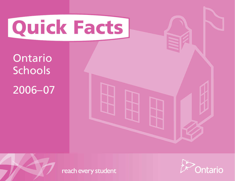# **Quick Facts**

Ontario Schools 2006–07





reach every student

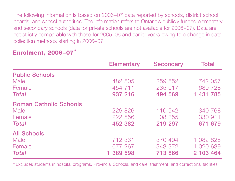The following information is based on 2006–07 data reported by schools, district school boards, and school authorities. The information refers to Ontario's publicly funded elementary and secondary schools (data for private schools are not available for 2006–07). Data are not strictly comparable with those for 2005–06 and earlier years owing to a change in data collection methods starting in 2006–07.

# **Enrolment, 2006–07**\*

|                               | <b>Elementary</b> | <b>Secondary</b> | <b>Total</b> |
|-------------------------------|-------------------|------------------|--------------|
| <b>Public Schools</b>         |                   |                  |              |
| Male                          | 482 505           | 259 552          | 742 057      |
| Female                        | 454 711           | 235 017          | 689 728      |
| <b>Total</b>                  | 937 216           | 494 569          | 1 431 785    |
| <b>Roman Catholic Schools</b> |                   |                  |              |
| Male                          | 229 826           | 110 942          | 340 768      |
| Female                        | 222 556           | 108 355          | 330 911      |
| <b>Total</b>                  | 452 382           | 219 297          | 671 679      |
| <b>All Schools</b>            |                   |                  |              |
| Male                          | 712 331           | 370 494          | 1 082 825    |
| Female                        | 677 267           | 343 372          | 1 020 639    |
| <b>Total</b>                  | 1 389 598         | 713 866          | 2 103 464    |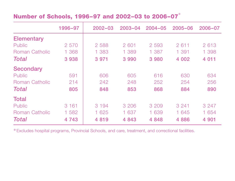#### **Number of Schools, 1996–97 and 2002–03 to 2006–07** \*

|                       | 1996-97 | $2002 - 03$ | $2003 - 04$ | $2004 - 05$ | $2005 - 06$ | $2006 - 07$ |
|-----------------------|---------|-------------|-------------|-------------|-------------|-------------|
| <b>Elementary</b>     |         |             |             |             |             |             |
| Public                | 2 570   | 2 5 8 8     | 2 601       | 2 5 9 3     | 2611        | 2613        |
| Roman Catholic        | 1 368   | 1 383       | 1 389       | 1 3 8 7     | 1 391       | 1 398       |
| <b>Total</b>          | 3938    | 3 9 7 1     | 3 9 9 0     | 3 9 8 0     | 4 0 0 2     | 4 0 1 1     |
| <b>Secondary</b>      |         |             |             |             |             |             |
| Public                | 591     | 606         | 605         | 616         | 630         | 634         |
| <b>Roman Catholic</b> | 214     | 242         | 248         | 252         | 254         | 256         |
| <b>Total</b>          | 805     | 848         | 853         | 868         | 884         | 890         |
| <b>Total</b>          |         |             |             |             |             |             |
| Public                | 3 1 6 1 | 3 1 9 4     | 3 2 0 6     | 3 209       | 3 2 4 1     | 3 2 4 7     |
| <b>Roman Catholic</b> | 1 582   | 1 625       | 1 637       | 1 639       | 1 645       | 1 654       |
| Total                 | 4 7 4 3 | 4 8 1 9     | 4 8 4 3     | 4 8 4 8     | 4 8 8 6     | 4 9 0 1     |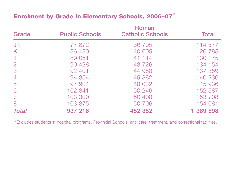## **Enrolment by Grade in Elementary Schools, 2006–07** \*

|                |                       | <b>Roman</b>            |              |
|----------------|-----------------------|-------------------------|--------------|
| Grade          | <b>Public Schools</b> | <b>Catholic Schools</b> | <b>Total</b> |
| <b>JK</b>      | 77 872                | 36 705                  | 114 577      |
| K              | 86 180                | 40 605                  | 126 785      |
|                | 89 061                | 41 114                  | 130 175      |
| $\overline{2}$ | 90 428                | 43 726                  | 134 154      |
| 3              | 92 401                | 44 958                  | 137 359      |
| $\overline{4}$ | 94 354                | 45 882                  | 140 236      |
| 5              | 97 904                | 48 032                  | 145 936      |
| 6              | 102 341               | 50 246                  | 152 587      |
|                | 103 300               | 50 408                  | 153 708      |
| 8              | 103 375               | 50 706                  | 154 081      |
| <b>Total</b>   | 937 216               | 452 382                 | 1 389 598    |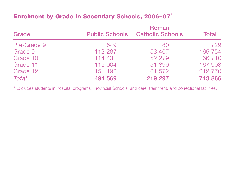## **Enrolment by Grade in Secondary Schools, 2006–07** \*

| Grade        |         | Roman<br><b>Public Schools Catholic Schools</b> | <b>Total</b> |
|--------------|---------|-------------------------------------------------|--------------|
| Pre-Grade 9  | 649     | 80                                              | 729          |
| Grade 9      | 112 287 | 53 467                                          | 165 754      |
| Grade 10     | 114 431 | 52 279                                          | 166 710      |
| Grade 11     | 116 004 | 51 899                                          | 167 903      |
| Grade 12     | 151 198 | 61 572                                          | 212 770      |
| <b>Total</b> | 494 569 | 219 297                                         | 713 866      |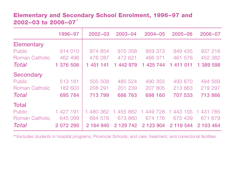#### **Elementary and Secondary School Enrolment, 1996–97 and 2002–03 to 2006–07** \*

|                       | 1996-97   | $2002 - 03$   | $2003 - 04$   | $2004 - 05$   | $2005 - 06$  | $2006 - 07$ |
|-----------------------|-----------|---------------|---------------|---------------|--------------|-------------|
| <b>Elementary</b>     |           |               |               |               |              |             |
| Public                | 914 010   | 974 854       | 970 358       | 959 373       | 949 435      | 937 216     |
| Roman Catholic        | 462 496   | 476 287       | 472 621       | 466 371       | 461 576      | 452 382     |
| Total                 | 1 376 506 | 1 451 141     | 1 442 979     | 1 425 744     | 1 411 011    | 389 598     |
| <b>Secondary</b>      |           |               |               |               |              |             |
| Public                | 513 181   | 505 508       | 485 524       | 490 355       | 493 670      | 494 569     |
| <b>Roman Catholic</b> | 182 603   | 208 291       | 201 239       | 207 805       | 213 863      | 219 297     |
| Total                 | 695 784   | 713 799       | 686 763       | 698 160       | 707 533      | 713 866     |
| <b>Total</b>          |           |               |               |               |              |             |
| Public                | 1 427 191 | 480 362<br>1. | 455 882       | 449 728<br>1  | 443 105<br>1 | 431 785     |
| Roman Catholic        | 645 099   | 684 578       | 673 860       | 674 176       | 675 439      | 671 679     |
| Total                 | 2 072 290 | 2 164 940     | 2 1 2 9 7 4 2 | 2 1 2 3 9 0 4 | 2 118 544    | 2 103 464   |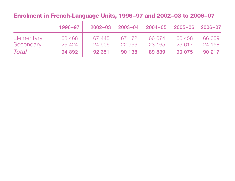#### **Enrolment in French-Language Units, 1996–97 and 2002–03 to 2006–07**

|            | 1996-97 | $2002 - 03$ |        | 2003-04 2004-05 2005-06 2006-07 |        |        |
|------------|---------|-------------|--------|---------------------------------|--------|--------|
| Elementary | 68 4 68 | 67445       | 67 172 | 66 674                          | 66458  | 66 059 |
| Secondary  | 26 4 24 | 24 906      | 22 966 | 23 165                          | 23 617 | 24 158 |
| Total      | 94 892  | 92 351      | 90 138 | 89 839                          | 90 075 | 90 217 |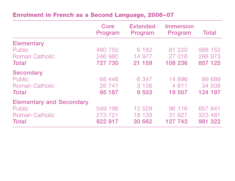#### **Enrolment in French as a Second Language, 2006–07**

|                                 | Core<br>Program | <b>Extended</b><br>Program | <b>Immersion</b><br>Program | <b>Total</b> |
|---------------------------------|-----------------|----------------------------|-----------------------------|--------------|
| <b>Elementary</b>               |                 |                            |                             |              |
| Public                          | 480 750         | 6 182                      | 81 220                      | 568 152      |
| <b>Roman Catholic</b>           | 246 980         | 14 977                     | 27 016                      | 288 973      |
| <b>Total</b>                    | 727 730         | 21 159                     | 108 236                     | 857 125      |
| <b>Secondary</b>                |                 |                            |                             |              |
| Public                          | 68 446          | 6 3 4 7                    | 14 896                      | 89 689       |
| <b>Roman Catholic</b>           | 26 741          | 3 1 5 6                    | 4 6 1 1                     | 34 508       |
| <b>Total</b>                    | 95 187          | 9 503                      | 19 507                      | 124 197      |
| <b>Elementary and Secondary</b> |                 |                            |                             |              |
| Public                          | 549 196         | 12 529                     | 96 116                      | 657 841      |
| <b>Roman Catholic</b>           | 273 721         | 18 133                     | 31 627                      | 323 481      |
| <b>Total</b>                    | 822 917         | 30 662                     | 127 743                     | 981 322      |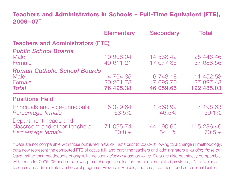#### **Teachers and Administrators in Schools – Full-Time Equivalent (FTE), 2006–07** \*

|                                                                           | <b>Elementary</b>                  | <b>Secondary</b>                  | <b>Total</b>                         |  |  |  |  |  |
|---------------------------------------------------------------------------|------------------------------------|-----------------------------------|--------------------------------------|--|--|--|--|--|
| <b>Teachers and Administrators (FTE)</b>                                  |                                    |                                   |                                      |  |  |  |  |  |
| <b>Public School Boards</b><br>Male<br>Female                             | 10 908.04<br>40 611.21             | 14 538.42<br>17 077.35            | 25 446.46<br>57 688.56               |  |  |  |  |  |
| <b>Roman Catholic School Boards</b><br>Male<br>Female<br><b>Total</b>     | 4 704.35<br>20 201.78<br>76 425.38 | 6 748.18<br>7 695,70<br>46 059.65 | 11 452.53<br>27 897.48<br>122 485,03 |  |  |  |  |  |
| <b>Positions Held</b>                                                     |                                    |                                   |                                      |  |  |  |  |  |
| Principals and vice-principals<br>Percentage female                       | 5 329.64<br>63.5%                  | 1 868.99<br>46.5%                 | 7 198.63<br>59.1%                    |  |  |  |  |  |
| Department heads and<br>classroom and other teachers<br>Percentage female | 71 095.74<br>80.8%                 | 44 190.66<br>54.1%                | 115 286,40<br>70.5%                  |  |  |  |  |  |

\*Data are not comparable with those published in Quick Facts prior to 2000–01 owing to a change in methodology: data now represent the computed FTE of active full- and part-time teachers and administrators *excluding those on leave*, rather than headcounts of *only* full-time staff *including those on leave*. Data are also not strictly comparable with those for 2005–06 and earlier owing to a change in collection methods, as stated previously. Data exclude teachers and administrators in hospital programs, Provincial Schools, and care, treatment, and correctional facilities.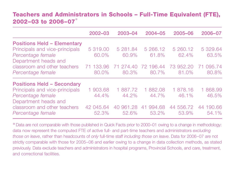#### **Teachers and Administrators in Schools – Full-Time Equivalent (FTE), 2002–03 to 2006–07** \*

|                                    | 2002-03   | 2003-04       | $2004 - 05$  | 2005-06   | 2006-07   |
|------------------------------------|-----------|---------------|--------------|-----------|-----------|
| <b>Positions Held - Elementary</b> |           |               |              |           |           |
| Principals and vice-principals     | 5 319,00  | 5 281.84      | 5 266.12     | 5 260.12  | 5 329.64  |
| Percentage female                  | 60.0%     | 60.9%         | 61.8%        | 62.4%     | 63.5%     |
| Department heads and               |           |               |              |           |           |
| classroom and other teachers       | 71 133.96 | 274.40        | 72 196.44    | 73 952.20 | 095.74    |
| Percentage female                  | 80.0%     | 80.3%         | 80.7%        | 81.0%     | 80.8%     |
| <b>Positions Held - Secondary</b>  |           |               |              |           |           |
| Principals and vice-principals     | 1 903.68  | 1 887.72      | 882.08       | 1 878.16  | 1868.99   |
| Percentage female                  | 44.4%     | 44.2%         | 44.7%        | 46.1%     | 46.5%     |
| Department heads and               |           |               |              |           |           |
| classroom and other teachers       | 42 045.64 | 961.28<br>4() | 994.68<br>41 | 44 556.72 | 44 190.66 |
| Percentage female                  | 52.3%     | 52.6%         | 53.2%        | 53.9%     | 54.1%     |

\*Data are not comparable with those published in Quick Facts prior to 2000–01 owing to a change in methodology: data now represent the computed FTE of active full- and part-time teachers and administrators *excluding those on leave*, rather than headcounts of *only* full-time staff *including those on leave*. Data for 2006–07 are not strictly comparable with those for 2005–06 and earlier owing to a change in data collection methods, as stated previously. Data exclude teachers and administrators in hospital programs, Provincial Schools, and care, treatment, and correctional facilities.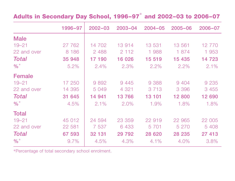# **Adults in Secondary Day School, 1996–97** \* **and 2002–03 to 2006–07**

|                 | 1996-97 | $2002 - 03$ | $2003 - 04$ | $2004 - 05$ | $2005 - 06$ | 2006-07 |
|-----------------|---------|-------------|-------------|-------------|-------------|---------|
| <b>Male</b>     |         |             |             |             |             |         |
| $19 - 21$       | 27 762  | 14 702      | 13 914      | 13 531      | 13 561      | 12 770  |
| 22 and over     | 8 1 8 6 | 2 4 8 8     | 2 1 1 2     | 1988        | 1 874       | 1 953   |
| <b>Total</b>    | 35 948  | 17 190      | 16 0 26     | 15 519      | 15 435      | 14 723  |
| $\frac{9}{6}$ * | 5.2%    | 2.4%        | 2.3%        | 2.2%        | 2.2%        | $2.1\%$ |
| <b>Female</b>   |         |             |             |             |             |         |
| $19 - 21$       | 17 250  | 9892        | 9 4 4 5     | 9 3 8 8     | 9 4 0 4     | 9 2 3 5 |
| 22 and over     | 14 395  | 5 0 4 9     | 4 3 2 1     | 3 7 1 3     | 3 3 9 6     | 3 4 5 5 |
| <b>Total</b>    | 31 645  | 14 941      | 13766       | 13 101      | 12 800      | 12 690  |
| $\frac{9}{6}$   | 4.5%    | $2.1\%$     | 2.0%        | 1.9%        | 1.8%        | 1.8%    |
| <b>Total</b>    |         |             |             |             |             |         |
| $19 - 21$       | 45 012  | 24 594      | 23 359      | 22 919      | 22 965      | 22 005  |
| 22 and over     | 22 581  | 7 5 3 7     | 6 4 3 3     | 5 7 0 1     | 5 2 7 0     | 5 4 0 8 |
| <b>Total</b>    | 67 593  | 32 131      | 29 7 9 2    | 28 6 20     | 28 235      | 27 413  |
| $\frac{0}{6}$   | 9.7%    | 4.5%        | 4.3%        | $4.1\%$     | 4.0%        | 3.8%    |

\*Percentage of total secondary school enrolment.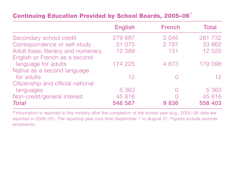#### **Continuing Education Provided by School Boards, 2005–06** \*

|                                   | <b>English</b> | <b>French</b> | <b>Total</b>    |
|-----------------------------------|----------------|---------------|-----------------|
| Secondary school credit           | 279 687        | 2 0 4 5       | 281 732         |
| Correspondence or self-study      | 31 075         | 2 7 8 7       | 33 862          |
| Adult basic literacy and numeracy | 12 3 8 9       | 131           | 12 5 20         |
| English or French as a second     |                |               |                 |
| language for adults               | 174 225        | 4 8 7 3       | 179 098         |
| Native as a second language       |                |               |                 |
| for adults                        | 12             |               | 12 <sup>2</sup> |
| Citizenship and official national |                |               |                 |
| languages                         | 5 3 6 3        | $(\ )$        | 5 3 6 3         |
| Non-credit/general interest       | 45 816         |               | 45 816          |
| <b>Total</b>                      | 548 567        | 9836          | 558 403         |

\*Information is reported to the ministry after the completion of the school year (e.g., 2005–06 data are reported in 2006–07). The reporting year runs from September 1 to August 31. Figures include summer enrolments.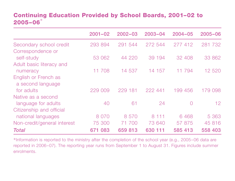#### **Continuing Education Provided by School Boards, 2001–02 to 2005–06** \*

|                                           | $2001 - 02$ | $2002 - 03$ | $2003 - 04$ | $2004 - 05$ | $2005 - 06$     |
|-------------------------------------------|-------------|-------------|-------------|-------------|-----------------|
| Secondary school credit                   | 293 894     | 291 544     | 272 544     | 277 412     | 281 732         |
| Correspondence or                         |             |             |             |             |                 |
| self-study                                | 53 062      | 44 220      | 39 194      | 32 408      | 33 862          |
| Adult basic literacy and                  |             |             |             |             |                 |
| numeracy                                  | 11 708      | 14 537      | 14 157      | 11 794      | 12 5 20         |
| English or French as<br>a second language |             |             |             |             |                 |
| for adults                                | 229 009     | 229 181     | 222 441     | 199 456     | 179 098         |
| Native as a second                        |             |             |             |             |                 |
| language for adults                       | 40          | 61          | 24          | $\Omega$    | 12 <sup>°</sup> |
| Citizenship and official                  |             |             |             |             |                 |
| national languages                        | 8 0 7 0     | 8 5 7 0     | 8 111       | 6468        | 5 3 6 3         |
| Non-credit/general interest               | 75 300      | 71 700      | 73 640      | 57 875      | 45 816          |
| <b>Total</b>                              | 671 083     | 659 813     | 630 111     | 585 413     | 558 403         |

\*Information is reported to the ministry after the completion of the school year (e.g., 2005–06 data are reported in 2006–07). The reporting year runs from September 1 to August 31. Figures include summer enrolments.